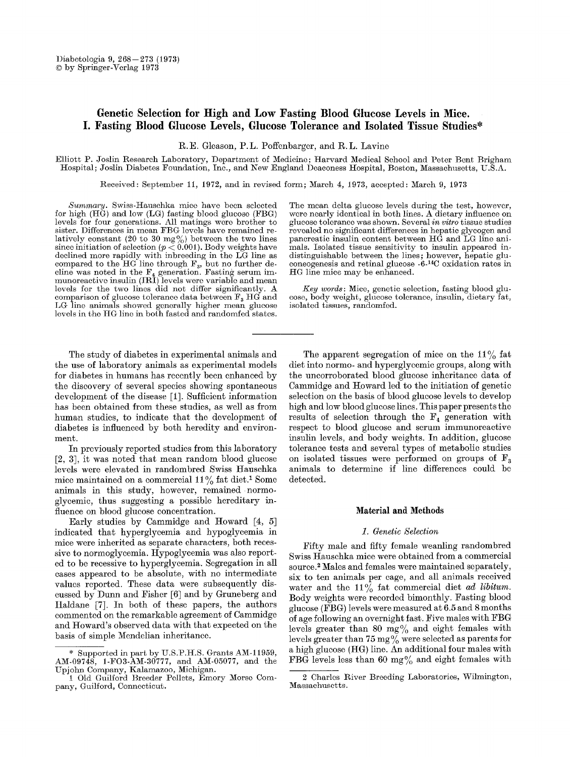# **Genetic Selection for High and Low Fasting Blood Glucose Levels in Mice. I. Fasting Blood Glucose Levels, Glucose Tolerance and Isolated Tissue Studies\***

R.E. Gleason, P.L. Poffenbarger, and R.L. Lavine

Elliott P. Joslin Research Laboratory, Department of Medicine; Harvard Medical School and Peter Bent Brigham Hospital; Joslin Diabetes Foundation, Inc., and New England Deaconess l{ospital, Boston, Massachnsetts, U.S.A.

Received: September 11, 1972, and in revised form; March 4, 1973, accepted: March 9, 1973

*Summary.* Swiss-Hauschka mice have been selected for high (HG) and low (LG) fasting blood glucose (FBG) levels for four generations. All matings were brother to sister. Differences in mean FBG levels have remained relatively constant (20 to 30  $mg\%$ ) between the two lines since initiation of selection ( $p < 0.001$ ). Body weights have declined more rapidly with inbreeding in the LG line as compared to the  $HG$  line through  $F_s$ , but no further decline was noted in the  $F_4$  generation. Fasting serum immunoreactive insulin (IRI) levels were variable and mean levels for the two lines did not differ significantly. A comparison of glucose tolerance data between  $F<sub>3</sub>$  HG and LG line animals showed generally higher mean glucose levels in the HG line in both fasted and randomfed states.

The study of diabetes in experimental animals and the use of laboratory animals as experimental models for diabetes in humans has recently been enhanced by the discovery of several species showing spontaneous development of the disease [1]. Sufficient information has been obtained from these studies, as well as from human studies, to indicate that the development of diabetes is influenced by both heredity and environment.

In previously reported studies from this laboratory [2, 3], it was noted that mean random blood glucose levels were elevated in randombred Swiss Hanschka mice maintained on a commercial  $11\%$  fat diet.<sup>1</sup> Some animals in this study, however, remained normoglycemic, thus suggesting a possible hereditary influence on blood glucose concentration.

Early studies by Cammidge and Howard [4, 5] indicated that hyperglycemia and hypoglycemia in mice were inherited as separate characters, both recessive to normoglycemia. Hypoglycemia was also reported to be recessive to hyperglycemia. Segregation in all cases appeared to be absolute, with no intermediate values reported. These data were subsequently discussed by Dunn and Fisher [6] and by Gruneberg and Haldane [7]. In both of these papers, the authors commented on the remarkable agreement of Cammidgc and Howard's observed data with that expected on the basis of simple Mendelian inheritance.

The mean delta glucose levels during the test, however, were nearly identical in both lines. A dietary influence on glucose tolerance was shown. Several *in vitro* tissue studies revealed no significant differences in hepatic glycogen and pancreatic insulin content between HG and LG line animals. Isolated tissue sensitivity to insulin appeared indistinguishable between the lines; however, hepatic gluconeogenesis and retinal glucose -6-<sup>14</sup>C oxidation rates in HG line mice may be enhanced.

*Key words:* Mice, genetic selection, fasting blood glucose, body weight, glucose tolerance, insulin, dietary fat, isolated tissues, randomfed.

The apparent segregation of mice on the  $11\%$  fat diet into normo- and hyperglycemic groups, along with the uncorroborated blood glucose inheritance data of Cammidge and Howard led to the initiation of genetic selection on the basis of blood glucose levels to develop high and low blood glucose lines. This paper presents the results of selection through the  $F_4$  generation with respect to blood glucose and serum immunoreactive insulin levels, and body weights. In addition, glucose tolerance tests and several types of metabolic studies on isolated tissues were performed on groups of  $F_3$ animals to determine if line differences could be detected.

### **Material and Methods**

#### *1. Genetic Selection*

Fifty male and fifty female weanling randombred Swiss Hanschka mice were obtained from a commercial source.<sup>2</sup> Males and females were maintained separately, six to ten animals per cage, and all animals received water and the 11% fat commercial diet *ad libitum*. Body weights were recorded bimonthly. Fasting blood glucose (FBG) levels were measured at 6.5 and 8 months of age following an overnight fast. Five males with FBG levels greater than 80  $mg\%$  and eight females with levels greater than 75 mg $\frac{0}{0}$  were selected as parents for a high glucose (HG) line. An additional four males with FBG levels less than 60 mg $\%$  and eight females with

<sup>\*</sup> Supported in part by U.S.P.H.S. Grants AM-11959, AM-09748, 1-FO3-AM-30777, and AM-05077, and the Upjohn Company, Kalamazoo, Michigan.

<sup>1</sup> Old Guilford Breeder Pellets, Emery Morse Company, Guilford, Connecticut.

<sup>2</sup> Charles River Breeding Laboratories, Wilmington, Massachusetts.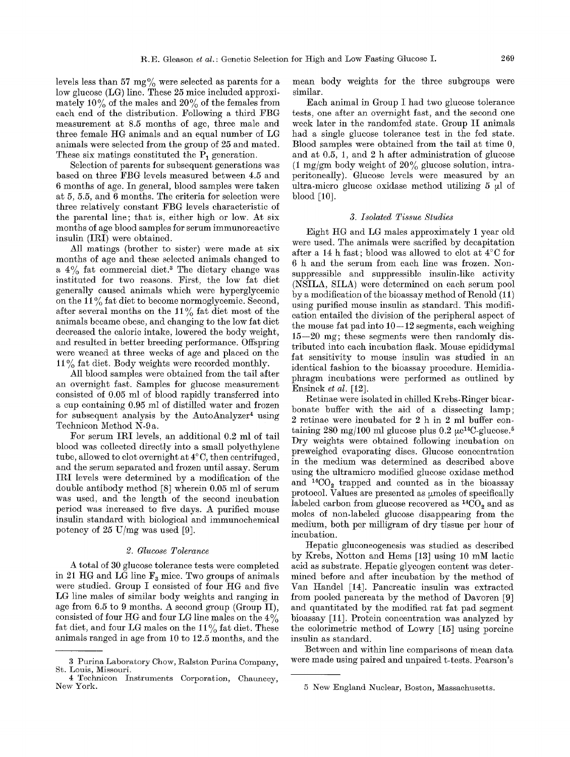levels less than 57  $mg\%$  were selected as parents for a low glucose (LG) line. These 25 mice included approximately  $10\%$  of the males and  $20\%$  of the females from each end of the distribution. Following a third FBG measurement at 8.5 months of age, three male and three female HG animals and an equal number of LG animals were selected from the group of 25 and mated. These six matings constituted the  $\overline{P}_1$  generation.

Selection of parents for subsequent generations was based on three FBG levels measured between 4.5 and 6 months of age. In general, blood samples were taken at 5, 5.5, and 6 months. The criteria for selection were three relatively constant FBG levels characteristic of the parental line; that is, either high or low. At six months of age blood samples for serum immunoreactive insulin (IRI) were obtained.

All matings (brother to sister) were made at six months of age and these selected animals changed to a  $4\%$  fat commercial diet.<sup>3</sup> The dietary change was instituted for two reasons. First, the low fat diet generally caused animals which were hyperglycemic on the 11% fat diet to become normoglycemic. Second, after several months on the  $11\%$  fat diet most of the animals became obese, and changing to the low fat diet decreased the caloric intake, lowered the body weight, and resulted in better breeding performance. Offspring were weaned at three weeks of age and placed on the  $11\%$  fat diet. Body weights were recorded monthly.

All blood samples were obtained from the tail after an overnight fast. Samples for glucose measurement consisted of 0.05 ml of blood rapidly transferred into a cup containing 0.95 ml of distilled water and frozen for subsequent analysis by the AutoAnalyzer<sup>4</sup> using Teehnicon Method N-9 a.

For serum IRI levels, an additional 0.2 ml of tail blood was collected directly into a small polyethylene tube, allowed to clot overnight at  $4^{\circ}$ C, then centrifuged, and the serum separated and frozen until assay. Serum IRI levels were determined by a modification of the double antibody method [8] wherein 0.05 ml of serum was used, and the length of the second incubation period was increased to five days. A purified mouse insulin standard with biological and immunoehemieal potency of 25 U/mg was used [9].

## *2. Glucose Tolerance*

A total of 30 glucose tolerance tests were completed in 21 HG and LG line  $F_3$  mice. Two groups of animals were studied. Group I consisted of four HG and five LG line males of similar body weights and ranging in age from  $6.5$  to 9 months. A second group (Group II), consisted of four HG and four LG line males on the  $4\%$ fat diet, and four LG males on the 11% fat diet. These animals ranged in age from 10 to 12.5 months, and the mean body weights for the three subgroups were similar.

Each animal in Group I had two glucose tolerance tests, one after an overnight fast, and the second one week later in the randomfed state. Group II animals had a single glucose tolerance test in the fed state. Blood samples were obtained from the tail at time 0, and at 0.5, 1, and 2 h after administration of glucose  $(1 \text{ mg/gm}$  body weight of  $20\%$  glucose solution, intraperitoneally). Glucose levels were measured by an ultra-micro glucose oxidase method utilizing  $5 \mu$  of blood [10].

### *3. Isolated Tissue Studies*

Eight HG and LG males approximately 1 year old were used. The animals were sacrified by decapitation after a 14 h fast; blood was allowed to clot at  $4^{\circ}$ C for 6 h and the serum from each line was frozen. Nonsuppressible and suppressible insulin-like activity (NSILA, SILA) were determined on each serum pool by a modification of the bioassay method of Renold (11) using purified mouse insulin as standard. This modification entailed the division of the peripheral aspect of the mouse fat pad into  $10-12$  segments, each weighing  $15-20$  mg; these segments were then randomly distributed into each incubation flask. Mouse epididymal fat sensitivity to mouse insulin was studied in an identical fashion to the bioassay procedure. Hemidiaphragm incubations were performed as outlined by Ensinck *et al.* [12].

Retinae were isolated in chilled Krebs-Ringer bicarbonate buffer with the aid of a dissecting lamp; 2 retinae were incubated for 2 h in 2 ml buffer containing 280 mg/100 ml glucose plus 0.2  $\mu$ c<sup>14</sup>C-glucose.<sup>5</sup> Dry weights were obtained following incubation on preweighed evaporating discs. Glucose concentration in the medium was determined as described above using the ultramicro modified glucose oxidasc method and  $^{14}CO_2$  trapped and counted as in the bioassay protocol. Values are presented as umoles of specifically labeled carbon from glucose recovered as  ${}^{14}CO_2$  and as moles of non-labeled glucose disappearing from the medium, both per milligram of dry tissue per hour of incubation.

Hepatic gluconeogenesis was studied as described by Krebs, Notton and Hems [13] using 10 mM lactic acid as substrate. Hepatic glycogen content was determined before and after incubation by the method of Van Handel [14]. Pancreatic insulin was extracted from pooled pancreata by the method of Davoren [9] and quantitated by the modified rat fat pad segment bioassay [11]. Protein concentration was analyzed by the colorimetric method of Lowry [15] using porcine insulin as standard.

Between and within line comparisons of mean data were made using paired and unpaired t-tests. Pearson's

<sup>3</sup> Purina Laboratory Chow, Ralston Purina Company, St. Louis, Missouri.

<sup>4</sup> Teehnicon Instruments Corporation, Chauneey, New York.

<sup>5</sup> New England Nuclear, Boston, Massachusetts.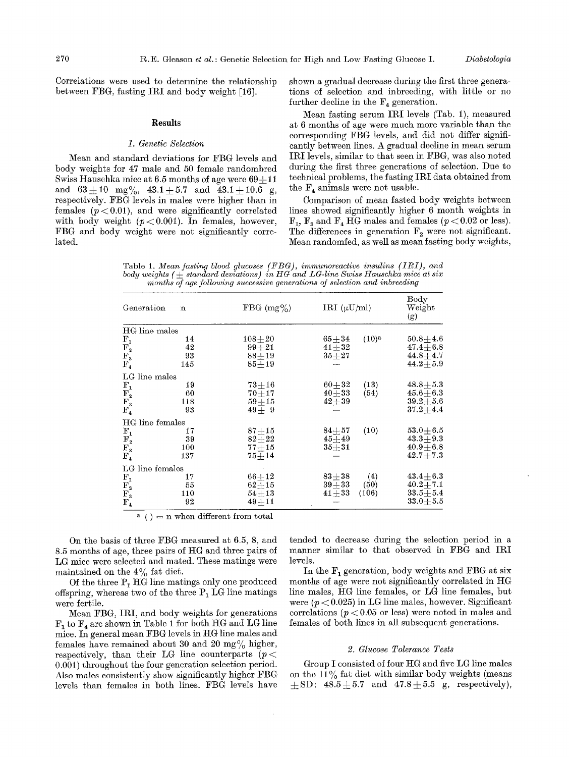Correlations were used to determine the relationship between FBG, fasting IRI and body weight [16].

#### **Results**

## *1. Genetic Selection*

Mean and standard deviations for FBG levels and body weights for 47 male and 50 female randombred Swiss Hauschka mice at  $6.5$  months of age were  $69+11$ and  $63 \pm 10$  mg%,  $43.1 \pm 5.7$  and  $43.1 \pm 10.6$  g, respectively. FBG levels in males were higher than in females  $(p < 0.01)$ , and were significantly correlated with body weight  $(p<0.001)$ . In females, however, FBG and body weight were not significantly correlated.

shown a gradual decrease during the first three generations of selection and inbreeding, with little or no further decline in the  $F_4$  generation.

Mean fasting serum IRI levels (Tab. 1), measured at 6 months of age were much more variable than the corresponding FBG levels, and did not differ significantly between lines. A gradual decline in mean serum IRI levels, similar to that seen in FBG, was also noted during the first three generations of selection. Due to technical problems, the fasting IRI data obtained from the  $F_4$  animals were not usable.

Comparison of mean fasted body weights between lines showed significantly higher 6 month weights in  $F_1$ ,  $F_3$  and  $F_4$  HG males and females ( $p < 0.02$  or less). The differences in generation  $F_2$  were not significant. Mean randomfed, as well as mean fasting body weights,

Table 1. *Mean fasting blood glucoses (FBG), immunoreactive insulins (IRI), and* body weights  $(\pm)$  standard deviations) in HG and LG-line Swiss Hauschka mice at six *months of age following successive generations of selection and inbreeding* 

| FBG $(mg\%)$ | IRI $(\mu U/ml)$                    | $_{\rm Body}$<br>Weight<br>(g) |
|--------------|-------------------------------------|--------------------------------|
|              |                                     |                                |
| $108\!+\!20$ | $(10)^{a}$<br>$65 + 34$             | $50.8 + 4.6$                   |
|              | $41 + 32$                           | $47.4 + 6.8$                   |
|              |                                     | $44.8 + 4.7$                   |
| $85 + 19$    |                                     | $44.2 + 5.9$                   |
|              |                                     |                                |
| $73 + 16$    | $60 + 32$<br>(13)                   | $48.8\pm5.3$                   |
| $70 + 17$    | $40 + 33$<br>(54)                   | $\boldsymbol{45.6\pm6.3}$      |
| $59 + 15$    | $42+39$                             | $39.2 \pm 5.6$                 |
| $49 + 9$     |                                     | $37.2 \pm 4.4$                 |
|              |                                     |                                |
| $87\pm15$    | (10)<br>$84\!\pm\!57$               | $53.0 \pm 6.5$                 |
| $82 + 22$    | $45 + 49$                           | $43.3 + 9.3$                   |
| $77 + 15$    | $35 + 31$                           | $40.9 + 6.8$                   |
| $75 + 14$    |                                     | $42.7 + 7.3$                   |
|              |                                     |                                |
| $66 + 12$    | $83 + 38$<br>(4)                    | $43.4 + 6.3$                   |
|              | (50)                                | $40.2 + 7.1$                   |
| $54 + 13$    | (106)<br>$41 + 33$                  | $33.5 \pm 5.4$                 |
| $49 + 11$    |                                     | $33.0 + 5.5$                   |
|              | $99 + 21$<br>$88 + 19$<br>$62 + 15$ | $35 + 27$<br>$39 + 33$         |

 $a$  ( ) = n when different from total

On the basis of three FBG measured at 6.5, 8, and 8.5 months of age, three pairs of HG and three pairs of LG mice were selected and mated. These matings were maintained on the  $4\%$  fat diet.

Of the three  $P_1$  HG line matings only one produced offspring, whereas two of the three  $P_1$  LG line matings were fertile.

Mean FBG, IRI, and body weights for generations  $F_1$  to  $F_4$  are shown in Table 1 for both HG and LG line mice. In general mean FBG levels in HG line males and females have remained about 30 and 20 mg $\%$  higher, respectively, than their LG line counterparts ( $p$  <  $0.001$ ) throughout the four generation selection period. Also males consistently show significantly higher FBG levels than females in both lines. FBG levels have tended to decrease during the selection period in a manner similar to that observed in FBG and IRI levels.

In the  $F_1$  generation, body weights and FBG at six months of age were not significantly correlated in HG line males, tIG line females, or LG line females, but were  $(p < 0.025)$  in LG line males, however. Significant correlations ( $p < 0.05$  or less) were noted in males and females of both lines in all subsequent generations.

#### *2. Glucose Tolerance Tests*

Group I consisted of four HG and five LG line males on the  $11\%$  fat diet with similar body weights (means  $\pm$  SD:  $48.5 \pm 5.7$  and  $47.8 \pm 5.5$  g, respectively),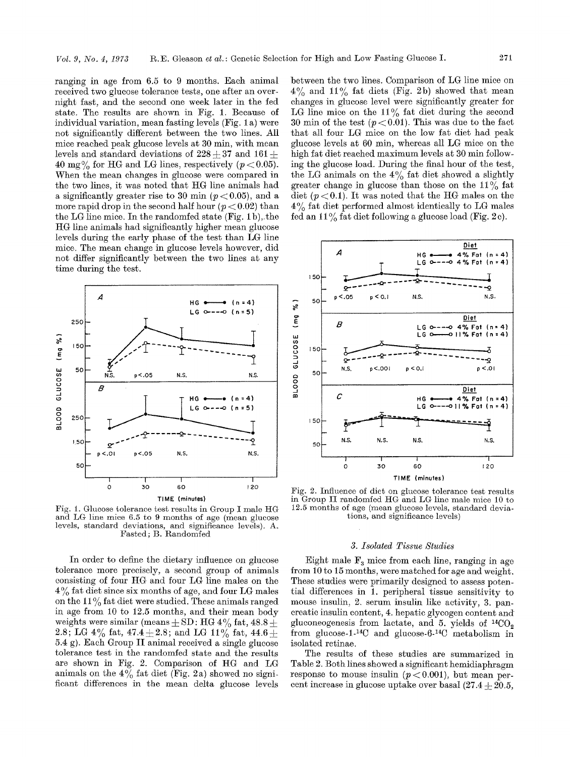ranging in age from 6.5 to 9 months. Each animal received two glucose tolerance tests, one after an overnight fast, and the second one week later in the fed state. The results are shown in Fig. 1. Because of individual variation, mean fasting levels (Fig. 1 a) were not significantly different between the two lines. All mice reached peak glucose levels at 30 min, with mean levels and standard deviations of  $228 + 37$  and  $161 +$ 40 mg $\%$  for HG and LG lines, respectively ( $p < 0.05$ ). When the mean changes in glucose were compared in the two lines, it was noted that tIG line animals had a significantly greater rise to 30 min  $(p < 0.05)$ , and a more rapid drop in the second half hour  $(p < 0.02)$  than the LG line mice. In the randomfed state (Fig. 1b), the tI.G line animals had significantly higher mean glucose levels during the early phase of the test than LG line mice. The mean change in glucose levels however, did not differ significantly between the two lines at any time during the test.



Fig. 1. Glucose tolerance test results in Group I male HG and LG line mice 6.5 to 9 months of age (mean glucose levels, standard deviations, and significance levels). A. Fasted; B. Randomfed

In order to define the dietary influence on glucose tolerance more precisely, a second group of animals consisting of four tIG and four LG line males on the 4% fat diet since six months of age, and four LG males on the  $11\%$  fat diet were studied. These animals ranged in age from 10 to 12.5 months, and their mean body weights were similar (means  $\pm$  SD: HG 4% fat, 48.8  $\pm$ 2.8; LG 4% fat, 47.4  $\pm$  2.8; and LG 11% fat, 44.6  $\pm$ 5.4 g). Each Group II animal received a single glucose tolerance test in the randomfed state and the results are shown in Fig. 2. Comparison of HG and LG animals on the  $4\%$  fat diet (Fig. 2a) showed no significant differences in the mean delta glucose levels

between the two lines. Comparison of LG line mice on  $4\%$  and  $11\%$  fat diets (Fig. 2b) showed that mean changes in glucose level were significantly greater for LG line mice on the  $11\%$  fat diet during the second 30 min of the test  $(p < 0.01)$ . This was due to the fact that all four LG mice on the low fat diet had peak glucose levels at 60 min, whereas all LG mice on the high fat diet reached maximum levels at 30 min following the glucose load. During the final hour of the test, the LG animals on the  $4\%$  fat diet showed a slightly greater change in glucose than those on the  $11\%$  fat diet  $(p<0.1)$ . It was noted that the HG males on the  $4\%$  fat diet performed almost identically to LG males fed an  $11\%$  fat diet following a glucose load (Fig. 2c).



Fig. 2. Influence of diet on glucose tolerance test results in Group II randomfed HG and LG line male mice 10 to 12.5 months of age (mean glucose levels, standard deviations, and significance levels)

#### *3. Isolated Tissue Studies*

Eight male  $F<sub>3</sub>$  mice from each line, ranging in age from 10 to 15 months, were matched for age and weight. These studies were primarily designed to assess potential differences in  $\overline{1}$ . peripheral tissue sensitivity to mouse insulin, 2. serum insulin like activity, 3. pancreatic insulin content, 4. hepatic glycogen content and gluconeogenesis from lactate, and 5. yields of  $^{14}CO_2$ from glucose-1.<sup>14</sup>C and glucose-6-<sup>14</sup>C metabolism in isolated retinae.

The results of these studies are summarized in Table 2. Both lines showed a significant hemidiaphragm response to mouse insulin  $(p < 0.001)$ , but mean percent increase in glucose uptake over basal  $(27.4 + 20.5,$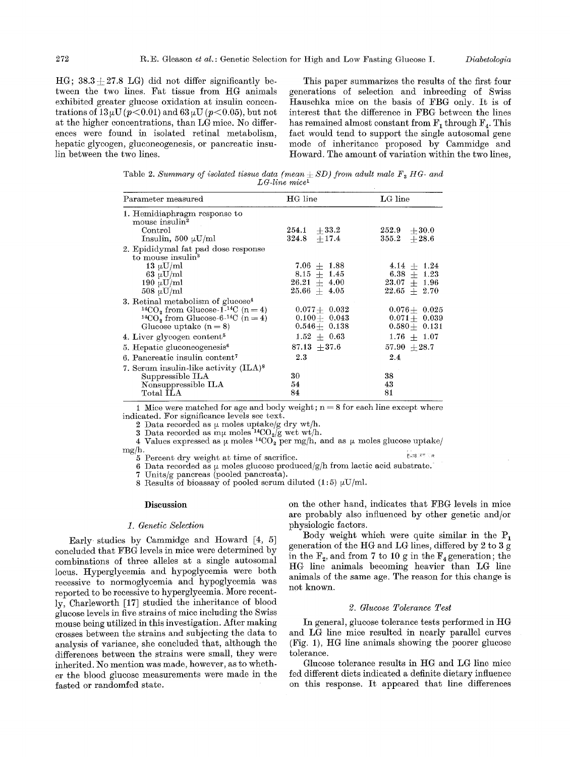$HG: 38.3+27.8$  LG) did not differ significantly between the two lines. Fat tissue from HG animals exhibited greater glucose oxidation at insulin concentrations of  $13 \mu U (p<0.01)$  and  $63 \mu U (p<0.05)$ , but not at the higher concentrations, than LG mice. No differences were found in isolated retinal metabolism, hepatic glycogen, gluconeogenesis, or pancreatic insulin between the two lines.

This paper summarizes the results of the first four generations of selection and inbreeding of Swiss Hausehka mice on the basis of FBG only. It is of interest that the difference in FBG between the lines has remained almost constant from  $F_1$  through  $F_4$ . This fact would tend to support the single autosomal gene mode of inheritance proposed by Cammidge and Howard. The amount of variation within the two lines,

Table 2. *Summary of isolated tissue data (mean + SD) from adult male*  $F<sub>3</sub> HG-$  *and LG-line mice 1* 

| Parameter measured                                                    | HG line          | $LG$ line        |
|-----------------------------------------------------------------------|------------------|------------------|
| 1. Hemidiaphragm response to<br>mouse insulin <sup>2</sup>            |                  |                  |
| Control                                                               | $254.1 + 33.2$   | $252.9 + 30.0$   |
| Insulin, 500 $\mu$ U/ml                                               | $324.8 + 17.4$   | $355.2 + 28.6$   |
| 2. Epididymal fat pad dose response<br>to mouse insulin <sup>3</sup>  |                  |                  |
| 13 $\mu$ U/ml                                                         | $7.06 + 1.88$    | $4.14 + 1.24$    |
| 63 µU/ml                                                              | $8.15~\pm~1.45$  | $6.38 + 1.23$    |
| 190 $\mu$ U/ml                                                        | $26.21~\pm~4.00$ | $23.07 \pm 1.96$ |
| $508 \mu U/ml$                                                        | $25.66$ + $4.05$ | $22.65 + 2.70$   |
| 3. Retinal metabolism of glucose <sup>4</sup>                         |                  |                  |
| <sup>14</sup> CO <sub>2</sub> from Glucose-1- <sup>14</sup> C (n = 4) | $0.077 + 0.032$  | $0.076 + 0.025$  |
| <sup>14</sup> CO <sub>2</sub> from Glucose-6 <sup>-14</sup> C (n = 4) | $0.100 + 0.043$  | $0.071 + 0.039$  |
| Glucose uptake $(n=8)$                                                | $0.546 + 0.138$  | $0.580 + 0.131$  |
| 4. Liver glycogen content <sup>5</sup>                                | $1.52~\pm~0.63$  | $1.76 \pm 1.07$  |
| 5. Hepatic gluconeogenesis <sup>6</sup>                               | $87.13 + 37.6$   | $57.90 + 28.7$   |
| 6. Pancreatic insulin content <sup>7</sup>                            | 2.3              | 2.4              |
| 7. Serum insulin-like activity (ILA) <sup>8</sup>                     |                  |                  |
| Suppressible ILA                                                      | 30               | 38               |
| Nonsuppressible ILA                                                   | 54               | 43               |
| Total ILA                                                             | 84               | 81               |

1 Mice were matched for age and body weight;  $n = 8$  for each line except where indicated. For significance levels see text.

2 Data recorded as  $\mu$  moles uptake/g dry wt/h.

3 Data recorded as  $m\mu$  moles <sup>14</sup>CO<sub>2</sub>/g wet wt/h.

4 Values expressed as  $\mu$  moles <sup>14</sup>CO<sub>2</sub> per mg/h, and as  $\mu$  moles glucose uptake/ mg/h.

5 Percent dry weight at time of sacrifice.

6 Data recorded as  $\upmu$  moles glucose produced/g/h from lactic acid substrate.

7 Units/g pancreas (pooled pancreata).<br>8 Results of bioassay of pooled serum

Results of bioassay of pooled serum diluted (1:5)  $\mu$ U/ml.

## **Discussion**

## *1. Genetic Selection*

Early studies by Cammidge and Howard [4, 5] concluded that FBG levels in mice were determined by combinations of three alleles at a single autosomal locus. Hyperglycemia and hypoglycemia were both recessive to normoglycemia and hypoglycemia was reported to be recessive to hyperglycemia. More recently, Charleworth [17] studied the inheritance of blood glucose levels in five strains of mice including the Swiss mouse being utilized in this investigation. After making crosses between the strains and subjecting the data to analysis of variance, she concluded that, although the differences between the strains were small, they were inherited. No mention was made, however, as to whether the blood glucose measurements were made in the fasted or randomfed state.

on the other hand, indicates that FBG levels in mice are probably also influenced by other genetic and/or physiologic factors.

Body weight which were quite similar in the  $P_1$ generation of the HG and LG lines, differed by 2 to 3 g in the  $F_2$ , and from 7 to 10 g in the  $F_4$  generation; the I-IG line animals becoming heavier than LG line animals of the same age. The reason for this change is not known.

## *2. Glucose Tolerance Test*

In general, glucose tolerance tests performed in HG and LG line mice resulted in nearly parallel curves (Fig. 1), HG line animals showing the poorer glucose tolerance.

Glucose tolerance results in HG and LG line mice fed different diets indicated a definite dietary influence on this response. It appeared that line differences